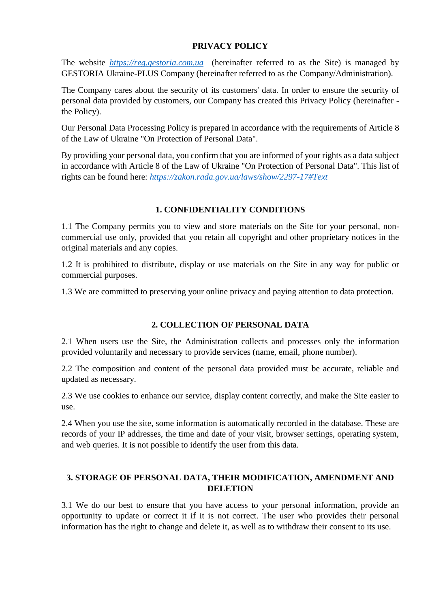### **PRIVACY POLICY**

The website *[https://reg.gestoria.com.ua](https://reg.gestoria.com.ua/)* (hereinafter referred to as the Site) is managed by GESTORIA Ukraine-PLUS Company (hereinafter referred to as the Company/Administration).

The Company cares about the security of its customers' data. In order to ensure the security of personal data provided by customers, our Company has created this Privacy Policy (hereinafter the Policy).

Our Personal Data Processing Policy is prepared in accordance with the requirements of Article 8 of the Law of Ukraine "On Protection of Personal Data".

By providing your personal data, you confirm that you are informed of your rights as a data subject in accordance with Article 8 of the Law of Ukraine "On Protection of Personal Data". This list of rights can be found here: *<https://zakon.rada.gov.ua/laws/show/2297-17#Text>*

## **1. CONFIDENTIALITY CONDITIONS**

1.1 The Company permits you to view and store materials on the Site for your personal, noncommercial use only, provided that you retain all copyright and other proprietary notices in the original materials and any copies.

1.2 It is prohibited to distribute, display or use materials on the Site in any way for public or commercial purposes.

1.3 We are committed to preserving your online privacy and paying attention to data protection.

# **2. COLLECTION OF PERSONAL DATA**

2.1 When users use the Site, the Administration collects and processes only the information provided voluntarily and necessary to provide services (name, email, phone number).

2.2 The composition and content of the personal data provided must be accurate, reliable and updated as necessary.

2.3 We use cookies to enhance our service, display content correctly, and make the Site easier to use.

2.4 When you use the site, some information is automatically recorded in the database. These are records of your IP addresses, the time and date of your visit, browser settings, operating system, and web queries. It is not possible to identify the user from this data.

## **3. STORAGE OF PERSONAL DATA, THEIR MODIFICATION, AMENDMENT AND DELETION**

3.1 We do our best to ensure that you have access to your personal information, provide an opportunity to update or correct it if it is not correct. The user who provides their personal information has the right to change and delete it, as well as to withdraw their consent to its use.